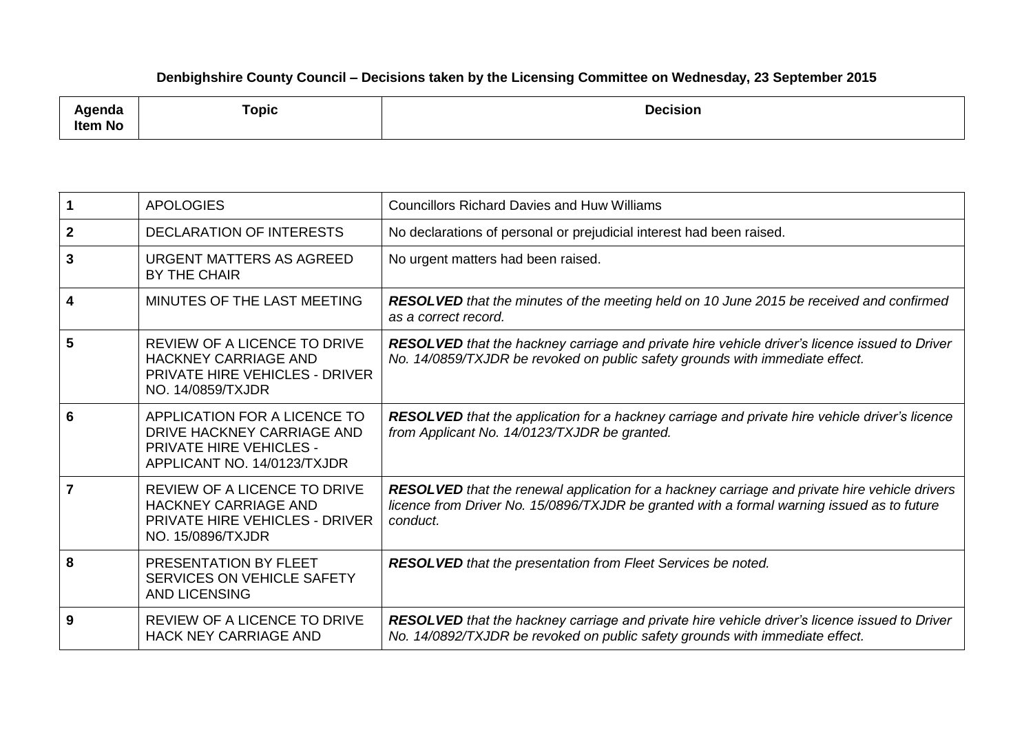## **Denbighshire County Council – Decisions taken by the Licensing Committee on Wednesday, 23 September 2015**

| .<br>nua<br><b>Item No</b> | and the state of the state of the<br>Горіс | <b>Decision</b> |
|----------------------------|--------------------------------------------|-----------------|
|----------------------------|--------------------------------------------|-----------------|

|                | <b>APOLOGIES</b>                                                                                                            | <b>Councillors Richard Davies and Huw Williams</b>                                                                                                                                                      |
|----------------|-----------------------------------------------------------------------------------------------------------------------------|---------------------------------------------------------------------------------------------------------------------------------------------------------------------------------------------------------|
| $\mathbf{2}$   | <b>DECLARATION OF INTERESTS</b>                                                                                             | No declarations of personal or prejudicial interest had been raised.                                                                                                                                    |
| 3              | URGENT MATTERS AS AGREED<br>BY THE CHAIR                                                                                    | No urgent matters had been raised.                                                                                                                                                                      |
| 4              | MINUTES OF THE LAST MEETING                                                                                                 | <b>RESOLVED</b> that the minutes of the meeting held on 10 June 2015 be received and confirmed<br>as a correct record.                                                                                  |
| 5              | REVIEW OF A LICENCE TO DRIVE<br><b>HACKNEY CARRIAGE AND</b><br><b>PRIVATE HIRE VEHICLES - DRIVER</b><br>NO. 14/0859/TXJDR   | RESOLVED that the hackney carriage and private hire vehicle driver's licence issued to Driver<br>No. 14/0859/TXJDR be revoked on public safety grounds with immediate effect.                           |
| 6              | APPLICATION FOR A LICENCE TO<br>DRIVE HACKNEY CARRIAGE AND<br><b>PRIVATE HIRE VEHICLES -</b><br>APPLICANT NO. 14/0123/TXJDR | RESOLVED that the application for a hackney carriage and private hire vehicle driver's licence<br>from Applicant No. 14/0123/TXJDR be granted.                                                          |
| $\overline{7}$ | REVIEW OF A LICENCE TO DRIVE<br><b>HACKNEY CARRIAGE AND</b><br><b>PRIVATE HIRE VEHICLES - DRIVER</b><br>NO. 15/0896/TXJDR   | RESOLVED that the renewal application for a hackney carriage and private hire vehicle drivers<br>licence from Driver No. 15/0896/TXJDR be granted with a formal warning issued as to future<br>conduct. |
| 8              | PRESENTATION BY FLEET<br>SERVICES ON VEHICLE SAFETY<br><b>AND LICENSING</b>                                                 | <b>RESOLVED</b> that the presentation from Fleet Services be noted.                                                                                                                                     |
| 9              | <b>REVIEW OF A LICENCE TO DRIVE</b><br><b>HACK NEY CARRIAGE AND</b>                                                         | RESOLVED that the hackney carriage and private hire vehicle driver's licence issued to Driver<br>No. 14/0892/TXJDR be revoked on public safety grounds with immediate effect.                           |